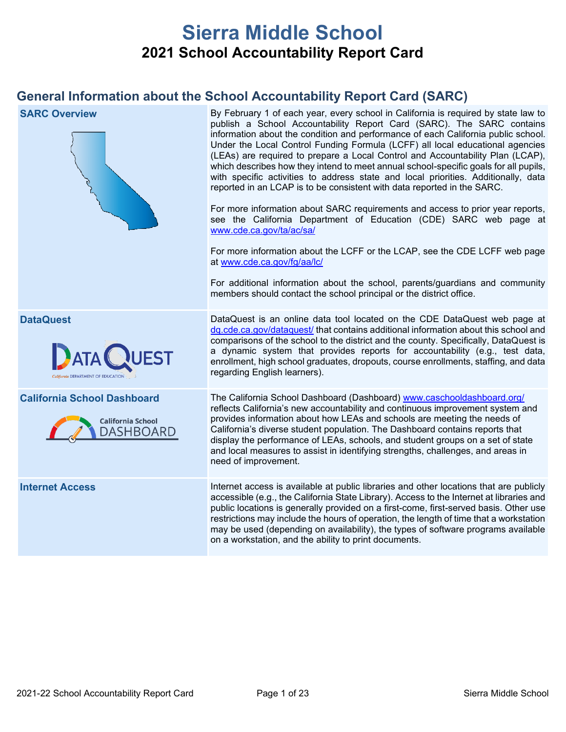# **Sierra Middle School 2021 School Accountability Report Card**

# **General Information about the School Accountability Report Card (SARC)**

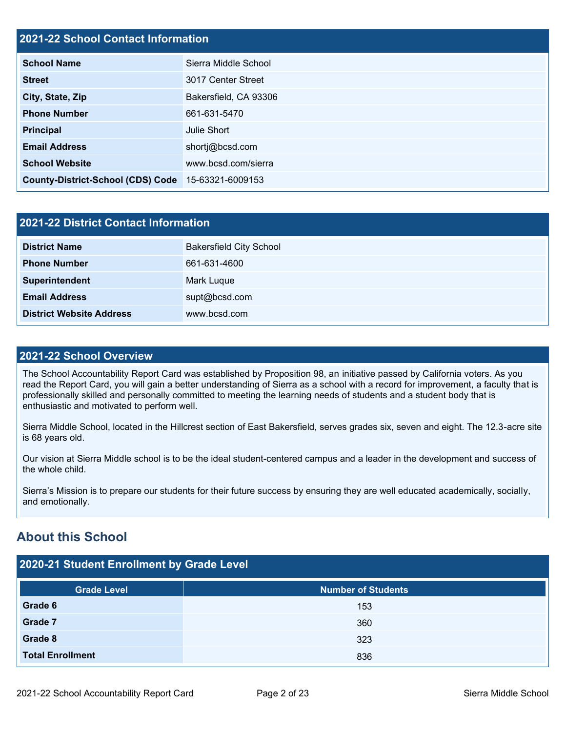### **2021-22 School Contact Information**

| <b>School Name</b>                       | Sierra Middle School  |  |
|------------------------------------------|-----------------------|--|
| <b>Street</b>                            | 3017 Center Street    |  |
| City, State, Zip                         | Bakersfield, CA 93306 |  |
| <b>Phone Number</b>                      | 661-631-5470          |  |
| <b>Principal</b>                         | Julie Short           |  |
| <b>Email Address</b>                     | shortj@bcsd.com       |  |
| <b>School Website</b>                    | www.bcsd.com/sierra   |  |
| <b>County-District-School (CDS) Code</b> | 15-63321-6009153      |  |

| 2021-22 District Contact Information |                                |  |  |  |
|--------------------------------------|--------------------------------|--|--|--|
| <b>District Name</b>                 | <b>Bakersfield City School</b> |  |  |  |
| <b>Phone Number</b>                  | 661-631-4600                   |  |  |  |
| Superintendent                       | Mark Luque                     |  |  |  |
| <b>Email Address</b>                 | supt@bcsd.com                  |  |  |  |
| <b>District Website Address</b>      | www.bcsd.com                   |  |  |  |

### **2021-22 School Overview**

The School Accountability Report Card was established by Proposition 98, an initiative passed by California voters. As you read the Report Card, you will gain a better understanding of Sierra as a school with a record for improvement, a faculty that is professionally skilled and personally committed to meeting the learning needs of students and a student body that is enthusiastic and motivated to perform well.

Sierra Middle School, located in the Hillcrest section of East Bakersfield, serves grades six, seven and eight. The 12.3-acre site is 68 years old.

Our vision at Sierra Middle school is to be the ideal student-centered campus and a leader in the development and success of the whole child.

Sierra's Mission is to prepare our students for their future success by ensuring they are well educated academically, socially, and emotionally.

# **About this School**

| 2020-21 Student Enrollment by Grade Level |                           |  |  |  |  |  |
|-------------------------------------------|---------------------------|--|--|--|--|--|
| <b>Grade Level</b>                        | <b>Number of Students</b> |  |  |  |  |  |
| Grade 6                                   | 153                       |  |  |  |  |  |
| <b>Grade 7</b>                            | 360                       |  |  |  |  |  |
| Grade 8                                   | 323                       |  |  |  |  |  |
| <b>Total Enrollment</b>                   | 836                       |  |  |  |  |  |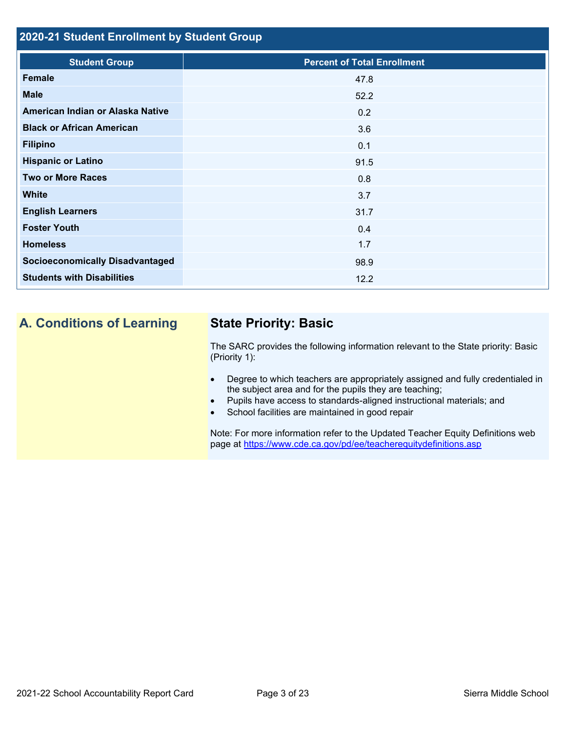## **2020-21 Student Enrollment by Student Group**

| <b>Student Group</b>                   | <b>Percent of Total Enrollment</b> |
|----------------------------------------|------------------------------------|
| Female                                 | 47.8                               |
| <b>Male</b>                            | 52.2                               |
| American Indian or Alaska Native       | 0.2                                |
| <b>Black or African American</b>       | 3.6                                |
| <b>Filipino</b>                        | 0.1                                |
| <b>Hispanic or Latino</b>              | 91.5                               |
| <b>Two or More Races</b>               | 0.8                                |
| <b>White</b>                           | 3.7                                |
| <b>English Learners</b>                | 31.7                               |
| <b>Foster Youth</b>                    | 0.4                                |
| <b>Homeless</b>                        | 1.7                                |
| <b>Socioeconomically Disadvantaged</b> | 98.9                               |
| <b>Students with Disabilities</b>      | 12.2                               |
|                                        |                                    |

# **A. Conditions of Learning State Priority: Basic**

The SARC provides the following information relevant to the State priority: Basic (Priority 1):

- Degree to which teachers are appropriately assigned and fully credentialed in the subject area and for the pupils they are teaching;
- Pupils have access to standards-aligned instructional materials; and
- School facilities are maintained in good repair

Note: For more information refer to the Updated Teacher Equity Definitions web page at<https://www.cde.ca.gov/pd/ee/teacherequitydefinitions.asp>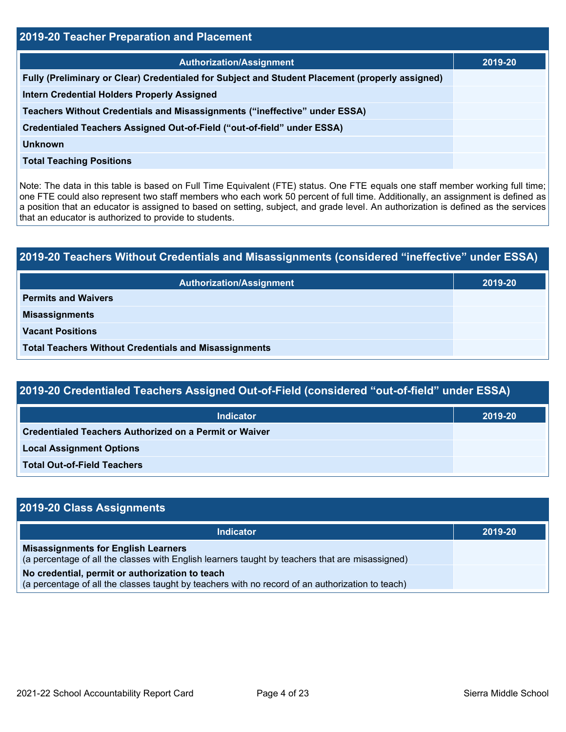| <b>2019-20 Teacher Preparation and Placement</b>                                                |         |  |  |  |
|-------------------------------------------------------------------------------------------------|---------|--|--|--|
| <b>Authorization/Assignment</b>                                                                 | 2019-20 |  |  |  |
| Fully (Preliminary or Clear) Credentialed for Subject and Student Placement (properly assigned) |         |  |  |  |
| <b>Intern Credential Holders Properly Assigned</b>                                              |         |  |  |  |
| Teachers Without Credentials and Misassignments ("ineffective" under ESSA)                      |         |  |  |  |
| Credentialed Teachers Assigned Out-of-Field ("out-of-field" under ESSA)                         |         |  |  |  |
| <b>Unknown</b>                                                                                  |         |  |  |  |
| <b>Total Teaching Positions</b>                                                                 |         |  |  |  |

Note: The data in this table is based on Full Time Equivalent (FTE) status. One FTE equals one staff member working full time; one FTE could also represent two staff members who each work 50 percent of full time. Additionally, an assignment is defined as a position that an educator is assigned to based on setting, subject, and grade level. An authorization is defined as the services that an educator is authorized to provide to students.

# **2019-20 Teachers Without Credentials and Misassignments (considered "ineffective" under ESSA) Authorization/Assignment 2019-20 Permits and Waivers Misassignments Vacant Positions Total Teachers Without Credentials and Misassignments**

| 2019-20 Credentialed Teachers Assigned Out-of-Field (considered "out-of-field" under ESSA) |         |  |  |  |
|--------------------------------------------------------------------------------------------|---------|--|--|--|
| Indicator                                                                                  | 2019-20 |  |  |  |
| <b>Credentialed Teachers Authorized on a Permit or Waiver</b>                              |         |  |  |  |

**Local Assignment Options**

**Total Out-of-Field Teachers**

| 2019-20 Class Assignments                                                                                                                           |         |
|-----------------------------------------------------------------------------------------------------------------------------------------------------|---------|
| Indicator                                                                                                                                           | 2019-20 |
| <b>Misassignments for English Learners</b><br>(a percentage of all the classes with English learners taught by teachers that are misassigned)       |         |
| No credential, permit or authorization to teach<br>(a percentage of all the classes taught by teachers with no record of an authorization to teach) |         |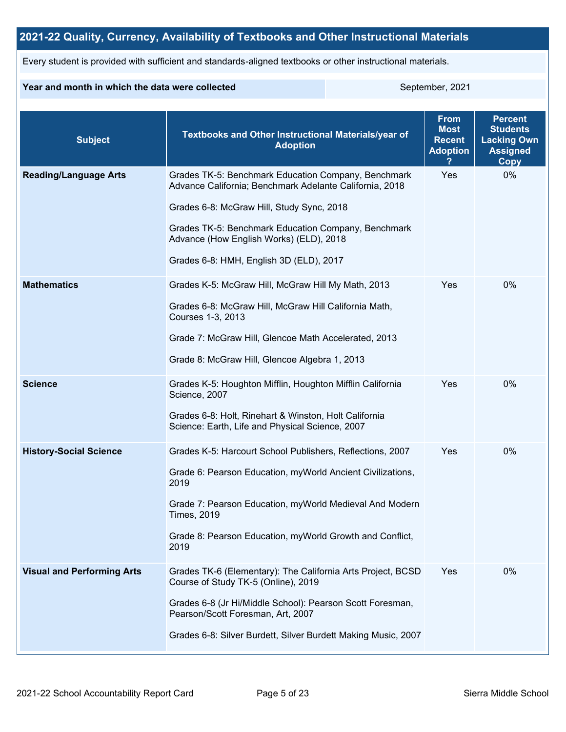## **2021-22 Quality, Currency, Availability of Textbooks and Other Instructional Materials**

Every student is provided with sufficient and standards-aligned textbooks or other instructional materials.

### **Year and month in which the data were collected** September, 2021

| <b>Subject</b>                    | <b>Textbooks and Other Instructional Materials/year of</b><br><b>Adoption</b>                                                                                                                                                                                                                            | <b>From</b><br><b>Most</b><br><b>Recent</b><br><b>Adoption</b> | <b>Percent</b><br><b>Students</b><br><b>Lacking Own</b><br><b>Assigned</b><br>Copy |
|-----------------------------------|----------------------------------------------------------------------------------------------------------------------------------------------------------------------------------------------------------------------------------------------------------------------------------------------------------|----------------------------------------------------------------|------------------------------------------------------------------------------------|
| <b>Reading/Language Arts</b>      | Grades TK-5: Benchmark Education Company, Benchmark<br>Advance California; Benchmark Adelante California, 2018<br>Grades 6-8: McGraw Hill, Study Sync, 2018<br>Grades TK-5: Benchmark Education Company, Benchmark<br>Advance (How English Works) (ELD), 2018<br>Grades 6-8: HMH, English 3D (ELD), 2017 | Yes                                                            | 0%                                                                                 |
| <b>Mathematics</b>                | Grades K-5: McGraw Hill, McGraw Hill My Math, 2013<br>Grades 6-8: McGraw Hill, McGraw Hill California Math,<br>Courses 1-3, 2013<br>Grade 7: McGraw Hill, Glencoe Math Accelerated, 2013<br>Grade 8: McGraw Hill, Glencoe Algebra 1, 2013                                                                | Yes                                                            | $0\%$                                                                              |
| <b>Science</b>                    | Grades K-5: Houghton Mifflin, Houghton Mifflin California<br>Science, 2007<br>Grades 6-8: Holt, Rinehart & Winston, Holt California<br>Science: Earth, Life and Physical Science, 2007                                                                                                                   | Yes                                                            | 0%                                                                                 |
| <b>History-Social Science</b>     | Grades K-5: Harcourt School Publishers, Reflections, 2007<br>Grade 6: Pearson Education, myWorld Ancient Civilizations,<br>2019<br>Grade 7: Pearson Education, myWorld Medieval And Modern<br><b>Times, 2019</b><br>Grade 8: Pearson Education, myWorld Growth and Conflict,<br>2019                     | Yes                                                            | 0%                                                                                 |
| <b>Visual and Performing Arts</b> | Grades TK-6 (Elementary): The California Arts Project, BCSD<br>Course of Study TK-5 (Online), 2019<br>Grades 6-8 (Jr Hi/Middle School): Pearson Scott Foresman,<br>Pearson/Scott Foresman, Art, 2007<br>Grades 6-8: Silver Burdett, Silver Burdett Making Music, 2007                                    | Yes                                                            | 0%                                                                                 |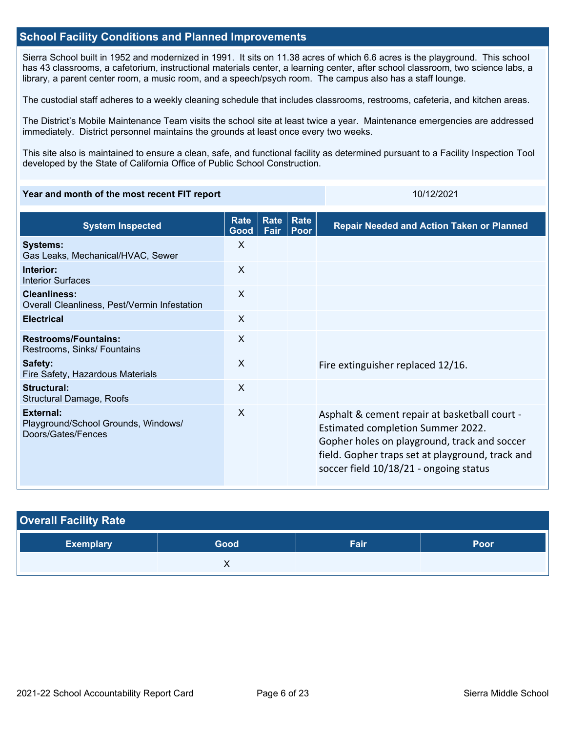### **School Facility Conditions and Planned Improvements**

Sierra School built in 1952 and modernized in 1991. It sits on 11.38 acres of which 6.6 acres is the playground. This school has 43 classrooms, a cafetorium, instructional materials center, a learning center, after school classroom, two science labs, a library, a parent center room, a music room, and a speech/psych room. The campus also has a staff lounge.

The custodial staff adheres to a weekly cleaning schedule that includes classrooms, restrooms, cafeteria, and kitchen areas.

The District's Mobile Maintenance Team visits the school site at least twice a year. Maintenance emergencies are addressed immediately. District personnel maintains the grounds at least once every two weeks.

This site also is maintained to ensure a clean, safe, and functional facility as determined pursuant to a Facility Inspection Tool developed by the State of California Office of Public School Construction.

### **Year and month of the most recent FIT report** 10/12/2021 10/12/2021

| <b>System Inspected</b>                                                | Rate<br>Good              | <b>Rate</b><br>Fair | Rate<br>Poor | <b>Repair Needed and Action Taken or Planned</b>                                                                                                                                                                                 |
|------------------------------------------------------------------------|---------------------------|---------------------|--------------|----------------------------------------------------------------------------------------------------------------------------------------------------------------------------------------------------------------------------------|
| <b>Systems:</b><br>Gas Leaks, Mechanical/HVAC, Sewer                   | $\sf X$                   |                     |              |                                                                                                                                                                                                                                  |
| Interior:<br>Interior Surfaces                                         | $\sf X$                   |                     |              |                                                                                                                                                                                                                                  |
| <b>Cleanliness:</b><br>Overall Cleanliness, Pest/Vermin Infestation    | $\boldsymbol{\mathsf{X}}$ |                     |              |                                                                                                                                                                                                                                  |
| <b>Electrical</b>                                                      | $\sf X$                   |                     |              |                                                                                                                                                                                                                                  |
| <b>Restrooms/Fountains:</b><br>Restrooms, Sinks/ Fountains             | X                         |                     |              |                                                                                                                                                                                                                                  |
| Safety:<br>Fire Safety, Hazardous Materials                            | $\sf X$                   |                     |              | Fire extinguisher replaced 12/16.                                                                                                                                                                                                |
| Structural:<br><b>Structural Damage, Roofs</b>                         | X                         |                     |              |                                                                                                                                                                                                                                  |
| External:<br>Playground/School Grounds, Windows/<br>Doors/Gates/Fences | $\sf X$                   |                     |              | Asphalt & cement repair at basketball court -<br>Estimated completion Summer 2022.<br>Gopher holes on playground, track and soccer<br>field. Gopher traps set at playground, track and<br>soccer field 10/18/21 - ongoing status |

| <b>Overall Facility Rate</b> |      |      |      |  |  |  |
|------------------------------|------|------|------|--|--|--|
| <b>Exemplary</b>             | Good | Fair | Poor |  |  |  |
|                              |      |      |      |  |  |  |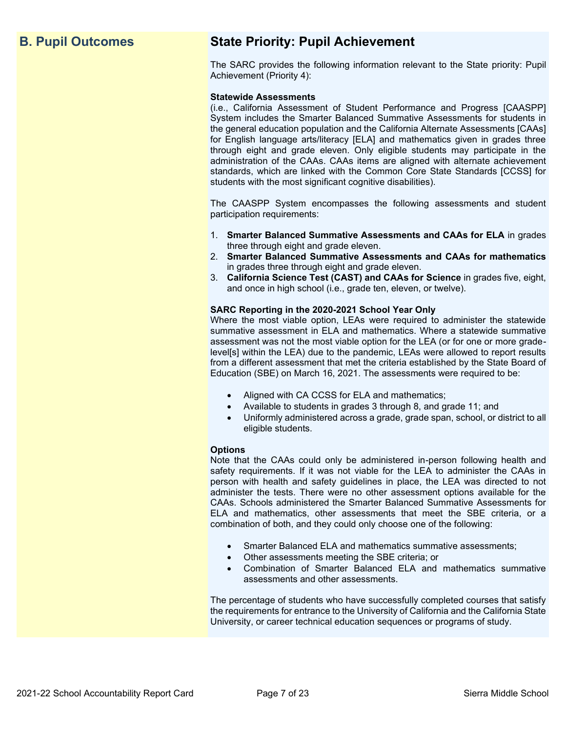# **B. Pupil Outcomes State Priority: Pupil Achievement**

The SARC provides the following information relevant to the State priority: Pupil Achievement (Priority 4):

### **Statewide Assessments**

(i.e., California Assessment of Student Performance and Progress [CAASPP] System includes the Smarter Balanced Summative Assessments for students in the general education population and the California Alternate Assessments [CAAs] for English language arts/literacy [ELA] and mathematics given in grades three through eight and grade eleven. Only eligible students may participate in the administration of the CAAs. CAAs items are aligned with alternate achievement standards, which are linked with the Common Core State Standards [CCSS] for students with the most significant cognitive disabilities).

The CAASPP System encompasses the following assessments and student participation requirements:

- 1. **Smarter Balanced Summative Assessments and CAAs for ELA** in grades three through eight and grade eleven.
- 2. **Smarter Balanced Summative Assessments and CAAs for mathematics** in grades three through eight and grade eleven.
- 3. **California Science Test (CAST) and CAAs for Science** in grades five, eight, and once in high school (i.e., grade ten, eleven, or twelve).

### **SARC Reporting in the 2020-2021 School Year Only**

Where the most viable option, LEAs were required to administer the statewide summative assessment in ELA and mathematics. Where a statewide summative assessment was not the most viable option for the LEA (or for one or more gradelevel[s] within the LEA) due to the pandemic, LEAs were allowed to report results from a different assessment that met the criteria established by the State Board of Education (SBE) on March 16, 2021. The assessments were required to be:

- Aligned with CA CCSS for ELA and mathematics;
- Available to students in grades 3 through 8, and grade 11; and
- Uniformly administered across a grade, grade span, school, or district to all eligible students.

### **Options**

Note that the CAAs could only be administered in-person following health and safety requirements. If it was not viable for the LEA to administer the CAAs in person with health and safety guidelines in place, the LEA was directed to not administer the tests. There were no other assessment options available for the CAAs. Schools administered the Smarter Balanced Summative Assessments for ELA and mathematics, other assessments that meet the SBE criteria, or a combination of both, and they could only choose one of the following:

- Smarter Balanced ELA and mathematics summative assessments;
- Other assessments meeting the SBE criteria; or
- Combination of Smarter Balanced ELA and mathematics summative assessments and other assessments.

The percentage of students who have successfully completed courses that satisfy the requirements for entrance to the University of California and the California State University, or career technical education sequences or programs of study.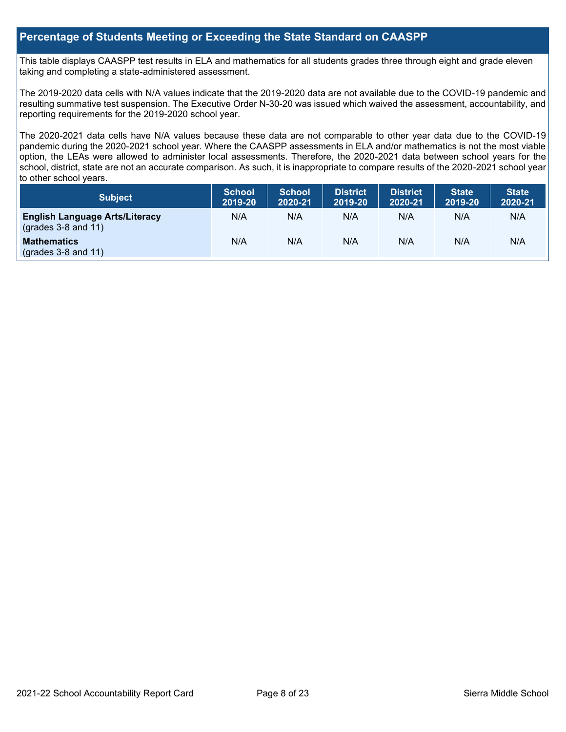### **Percentage of Students Meeting or Exceeding the State Standard on CAASPP**

This table displays CAASPP test results in ELA and mathematics for all students grades three through eight and grade eleven taking and completing a state-administered assessment.

The 2019-2020 data cells with N/A values indicate that the 2019-2020 data are not available due to the COVID-19 pandemic and resulting summative test suspension. The Executive Order N-30-20 was issued which waived the assessment, accountability, and reporting requirements for the 2019-2020 school year.

The 2020-2021 data cells have N/A values because these data are not comparable to other year data due to the COVID-19 pandemic during the 2020-2021 school year. Where the CAASPP assessments in ELA and/or mathematics is not the most viable option, the LEAs were allowed to administer local assessments. Therefore, the 2020-2021 data between school years for the school, district, state are not an accurate comparison. As such, it is inappropriate to compare results of the 2020-2021 school year to other school years.

| Subject                                                              | <b>School</b><br>2019-20 | <b>School</b><br>2020-21 | <b>District</b><br>2019-20 | <b>District</b><br>2020-21 | <b>State</b><br>2019-20 | <b>State</b><br>2020-21 |
|----------------------------------------------------------------------|--------------------------|--------------------------|----------------------------|----------------------------|-------------------------|-------------------------|
| <b>English Language Arts/Literacy</b><br>$\left($ grades 3-8 and 11) | N/A                      | N/A                      | N/A                        | N/A                        | N/A                     | N/A                     |
| <b>Mathematics</b><br>$(grades 3-8 and 11)$                          | N/A                      | N/A                      | N/A                        | N/A                        | N/A                     | N/A                     |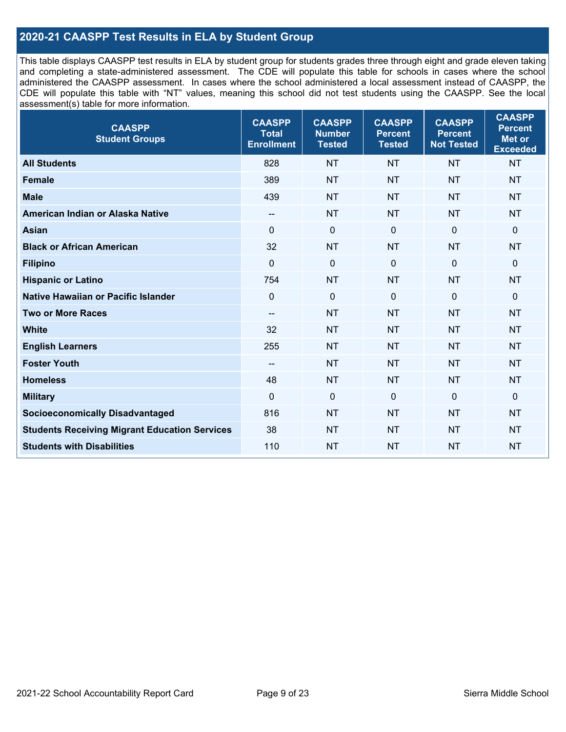### **2020-21 CAASPP Test Results in ELA by Student Group**

This table displays CAASPP test results in ELA by student group for students grades three through eight and grade eleven taking and completing a state-administered assessment. The CDE will populate this table for schools in cases where the school administered the CAASPP assessment. In cases where the school administered a local assessment instead of CAASPP, the CDE will populate this table with "NT" values, meaning this school did not test students using the CAASPP. See the local assessment(s) table for more information.

| <b>CAASPP</b><br><b>Student Groups</b>               | <b>CAASPP</b><br><b>Total</b><br><b>Enrollment</b> | <b>CAASPP</b><br><b>Number</b><br><b>Tested</b> | <b>CAASPP</b><br><b>Percent</b><br><b>Tested</b> | <b>CAASPP</b><br><b>Percent</b><br><b>Not Tested</b> | <b>CAASPP</b><br><b>Percent</b><br>Met or<br><b>Exceeded</b> |
|------------------------------------------------------|----------------------------------------------------|-------------------------------------------------|--------------------------------------------------|------------------------------------------------------|--------------------------------------------------------------|
| <b>All Students</b>                                  | 828                                                | <b>NT</b>                                       | <b>NT</b>                                        | <b>NT</b>                                            | <b>NT</b>                                                    |
| <b>Female</b>                                        | 389                                                | <b>NT</b>                                       | <b>NT</b>                                        | <b>NT</b>                                            | <b>NT</b>                                                    |
| <b>Male</b>                                          | 439                                                | <b>NT</b>                                       | <b>NT</b>                                        | <b>NT</b>                                            | <b>NT</b>                                                    |
| American Indian or Alaska Native                     | $\overline{\phantom{a}}$                           | <b>NT</b>                                       | <b>NT</b>                                        | <b>NT</b>                                            | <b>NT</b>                                                    |
| <b>Asian</b>                                         | $\mathbf{0}$                                       | $\pmb{0}$                                       | $\mathbf 0$                                      | $\mathbf 0$                                          | 0                                                            |
| <b>Black or African American</b>                     | 32                                                 | <b>NT</b>                                       | <b>NT</b>                                        | <b>NT</b>                                            | <b>NT</b>                                                    |
| <b>Filipino</b>                                      | $\mathbf 0$                                        | $\mathbf 0$                                     | $\mathbf 0$                                      | $\mathbf 0$                                          | 0                                                            |
| <b>Hispanic or Latino</b>                            | 754                                                | <b>NT</b>                                       | <b>NT</b>                                        | <b>NT</b>                                            | <b>NT</b>                                                    |
| <b>Native Hawaiian or Pacific Islander</b>           | $\mathbf 0$                                        | $\mathbf 0$                                     | $\mathbf{0}$                                     | $\overline{0}$                                       | 0                                                            |
| <b>Two or More Races</b>                             | $\overline{\phantom{a}}$                           | <b>NT</b>                                       | <b>NT</b>                                        | <b>NT</b>                                            | <b>NT</b>                                                    |
| <b>White</b>                                         | 32                                                 | <b>NT</b>                                       | <b>NT</b>                                        | <b>NT</b>                                            | <b>NT</b>                                                    |
| <b>English Learners</b>                              | 255                                                | <b>NT</b>                                       | <b>NT</b>                                        | <b>NT</b>                                            | <b>NT</b>                                                    |
| <b>Foster Youth</b>                                  | --                                                 | <b>NT</b>                                       | <b>NT</b>                                        | <b>NT</b>                                            | <b>NT</b>                                                    |
| <b>Homeless</b>                                      | 48                                                 | <b>NT</b>                                       | <b>NT</b>                                        | <b>NT</b>                                            | <b>NT</b>                                                    |
| <b>Military</b>                                      | $\mathbf 0$                                        | $\mathbf 0$                                     | $\mathbf 0$                                      | $\mathbf 0$                                          | 0                                                            |
| <b>Socioeconomically Disadvantaged</b>               | 816                                                | <b>NT</b>                                       | <b>NT</b>                                        | <b>NT</b>                                            | <b>NT</b>                                                    |
| <b>Students Receiving Migrant Education Services</b> | 38                                                 | <b>NT</b>                                       | <b>NT</b>                                        | <b>NT</b>                                            | <b>NT</b>                                                    |
| <b>Students with Disabilities</b>                    | 110                                                | <b>NT</b>                                       | <b>NT</b>                                        | <b>NT</b>                                            | <b>NT</b>                                                    |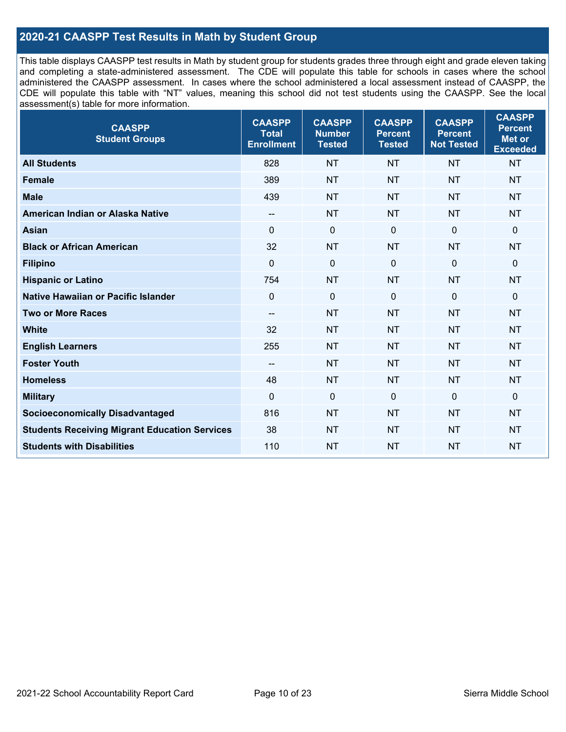### **2020-21 CAASPP Test Results in Math by Student Group**

This table displays CAASPP test results in Math by student group for students grades three through eight and grade eleven taking and completing a state-administered assessment. The CDE will populate this table for schools in cases where the school administered the CAASPP assessment. In cases where the school administered a local assessment instead of CAASPP, the CDE will populate this table with "NT" values, meaning this school did not test students using the CAASPP. See the local assessment(s) table for more information.

| <b>CAASPP</b><br><b>Student Groups</b>               | <b>CAASPP</b><br><b>Total</b><br><b>Enrollment</b> | <b>CAASPP</b><br><b>Number</b><br><b>Tested</b> | <b>CAASPP</b><br><b>Percent</b><br><b>Tested</b> | <b>CAASPP</b><br><b>Percent</b><br><b>Not Tested</b> | <b>CAASPP</b><br><b>Percent</b><br><b>Met or</b><br><b>Exceeded</b> |
|------------------------------------------------------|----------------------------------------------------|-------------------------------------------------|--------------------------------------------------|------------------------------------------------------|---------------------------------------------------------------------|
| <b>All Students</b>                                  | 828                                                | <b>NT</b>                                       | <b>NT</b>                                        | <b>NT</b>                                            | <b>NT</b>                                                           |
| <b>Female</b>                                        | 389                                                | <b>NT</b>                                       | <b>NT</b>                                        | <b>NT</b>                                            | <b>NT</b>                                                           |
| <b>Male</b>                                          | 439                                                | <b>NT</b>                                       | <b>NT</b>                                        | <b>NT</b>                                            | <b>NT</b>                                                           |
| American Indian or Alaska Native                     | $- -$                                              | <b>NT</b>                                       | <b>NT</b>                                        | <b>NT</b>                                            | <b>NT</b>                                                           |
| <b>Asian</b>                                         | $\Omega$                                           | $\pmb{0}$                                       | $\Omega$                                         | $\mathbf 0$                                          | $\mathbf 0$                                                         |
| <b>Black or African American</b>                     | 32                                                 | <b>NT</b>                                       | <b>NT</b>                                        | <b>NT</b>                                            | <b>NT</b>                                                           |
| <b>Filipino</b>                                      | $\mathbf 0$                                        | $\mathbf 0$                                     | $\mathbf 0$                                      | $\Omega$                                             | $\mathbf 0$                                                         |
| <b>Hispanic or Latino</b>                            | 754                                                | <b>NT</b>                                       | <b>NT</b>                                        | <b>NT</b>                                            | <b>NT</b>                                                           |
| Native Hawaiian or Pacific Islander                  | $\mathbf 0$                                        | $\mathbf 0$                                     | $\mathbf 0$                                      | $\mathbf 0$                                          | $\Omega$                                                            |
| <b>Two or More Races</b>                             | $\overline{\phantom{a}}$                           | <b>NT</b>                                       | <b>NT</b>                                        | <b>NT</b>                                            | <b>NT</b>                                                           |
| <b>White</b>                                         | 32                                                 | <b>NT</b>                                       | <b>NT</b>                                        | <b>NT</b>                                            | <b>NT</b>                                                           |
| <b>English Learners</b>                              | 255                                                | <b>NT</b>                                       | <b>NT</b>                                        | <b>NT</b>                                            | <b>NT</b>                                                           |
| <b>Foster Youth</b>                                  | --                                                 | <b>NT</b>                                       | <b>NT</b>                                        | <b>NT</b>                                            | <b>NT</b>                                                           |
| <b>Homeless</b>                                      | 48                                                 | <b>NT</b>                                       | <b>NT</b>                                        | <b>NT</b>                                            | <b>NT</b>                                                           |
| <b>Military</b>                                      | $\mathbf 0$                                        | $\mathbf 0$                                     | $\mathbf 0$                                      | $\mathbf 0$                                          | $\mathbf 0$                                                         |
| <b>Socioeconomically Disadvantaged</b>               | 816                                                | <b>NT</b>                                       | <b>NT</b>                                        | <b>NT</b>                                            | <b>NT</b>                                                           |
| <b>Students Receiving Migrant Education Services</b> | 38                                                 | <b>NT</b>                                       | <b>NT</b>                                        | <b>NT</b>                                            | <b>NT</b>                                                           |
| <b>Students with Disabilities</b>                    | 110                                                | <b>NT</b>                                       | <b>NT</b>                                        | <b>NT</b>                                            | NT                                                                  |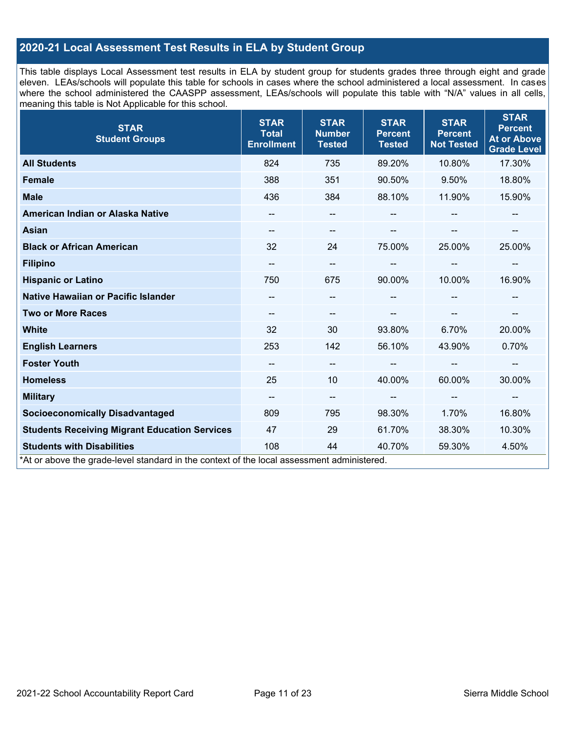## **2020-21 Local Assessment Test Results in ELA by Student Group**

This table displays Local Assessment test results in ELA by student group for students grades three through eight and grade eleven. LEAs/schools will populate this table for schools in cases where the school administered a local assessment. In cases where the school administered the CAASPP assessment, LEAs/schools will populate this table with "N/A" values in all cells, meaning this table is Not Applicable for this school.

| <b>STAR</b><br><b>Student Groups</b>                                                                                            | <b>STAR</b><br><b>Total</b><br><b>Enrollment</b> | <b>STAR</b><br><b>Number</b><br><b>Tested</b> | <b>STAR</b><br><b>Percent</b><br><b>Tested</b> | <b>STAR</b><br><b>Percent</b><br><b>Not Tested</b> | <b>STAR</b><br><b>Percent</b><br><b>At or Above</b><br><b>Grade Level</b> |
|---------------------------------------------------------------------------------------------------------------------------------|--------------------------------------------------|-----------------------------------------------|------------------------------------------------|----------------------------------------------------|---------------------------------------------------------------------------|
| <b>All Students</b>                                                                                                             | 824                                              | 735                                           | 89.20%                                         | 10.80%                                             | 17.30%                                                                    |
| <b>Female</b>                                                                                                                   | 388                                              | 351                                           | 90.50%                                         | 9.50%                                              | 18.80%                                                                    |
| <b>Male</b>                                                                                                                     | 436                                              | 384                                           | 88.10%                                         | 11.90%                                             | 15.90%                                                                    |
| American Indian or Alaska Native                                                                                                |                                                  | $\qquad \qquad -$                             |                                                |                                                    |                                                                           |
| <b>Asian</b>                                                                                                                    |                                                  | --                                            |                                                |                                                    |                                                                           |
| <b>Black or African American</b>                                                                                                | 32                                               | 24                                            | 75.00%                                         | 25.00%                                             | 25.00%                                                                    |
| <b>Filipino</b>                                                                                                                 | --                                               | $\qquad \qquad \cdots$                        |                                                | --                                                 | --                                                                        |
| <b>Hispanic or Latino</b>                                                                                                       | 750                                              | 675                                           | 90.00%                                         | 10.00%                                             | 16.90%                                                                    |
| Native Hawaiian or Pacific Islander                                                                                             |                                                  | --                                            |                                                |                                                    |                                                                           |
| <b>Two or More Races</b>                                                                                                        |                                                  | --                                            |                                                |                                                    | --                                                                        |
| <b>White</b>                                                                                                                    | 32                                               | 30                                            | 93.80%                                         | 6.70%                                              | 20.00%                                                                    |
| <b>English Learners</b>                                                                                                         | 253                                              | 142                                           | 56.10%                                         | 43.90%                                             | 0.70%                                                                     |
| <b>Foster Youth</b>                                                                                                             | --                                               | $\overline{\phantom{a}}$                      |                                                | --                                                 | --                                                                        |
| <b>Homeless</b>                                                                                                                 | 25                                               | 10                                            | 40.00%                                         | 60.00%                                             | 30.00%                                                                    |
| <b>Military</b>                                                                                                                 | $\qquad \qquad -$                                | $\overline{\phantom{a}}$                      | --                                             | $\hspace{0.05cm}$                                  | --                                                                        |
| <b>Socioeconomically Disadvantaged</b>                                                                                          | 809                                              | 795                                           | 98.30%                                         | 1.70%                                              | 16.80%                                                                    |
| <b>Students Receiving Migrant Education Services</b>                                                                            | 47                                               | 29                                            | 61.70%                                         | 38.30%                                             | 10.30%                                                                    |
| <b>Students with Disabilities</b><br>*At or above the grade-level standard in the context of the local assessment administered. | 108                                              | 44                                            | 40.70%                                         | 59.30%                                             | 4.50%                                                                     |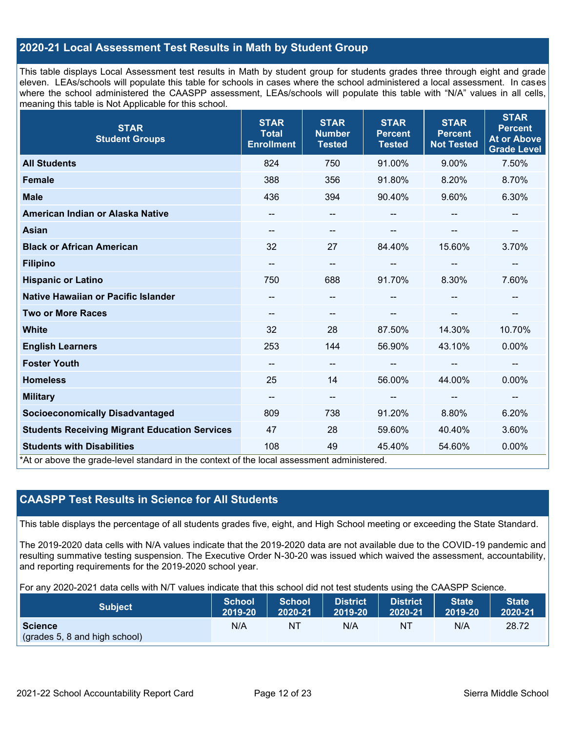### **2020-21 Local Assessment Test Results in Math by Student Group**

This table displays Local Assessment test results in Math by student group for students grades three through eight and grade eleven. LEAs/schools will populate this table for schools in cases where the school administered a local assessment. In cases where the school administered the CAASPP assessment, LEAs/schools will populate this table with "N/A" values in all cells, meaning this table is Not Applicable for this school.

| <b>STAR</b><br><b>Student Groups</b>                                                                                            | <b>STAR</b><br><b>Total</b><br><b>Enrollment</b> | <b>STAR</b><br><b>Number</b><br><b>Tested</b> | <b>STAR</b><br><b>Percent</b><br><b>Tested</b> | <b>STAR</b><br><b>Percent</b><br><b>Not Tested</b> | <b>STAR</b><br><b>Percent</b><br><b>At or Above</b><br><b>Grade Level</b> |
|---------------------------------------------------------------------------------------------------------------------------------|--------------------------------------------------|-----------------------------------------------|------------------------------------------------|----------------------------------------------------|---------------------------------------------------------------------------|
| <b>All Students</b>                                                                                                             | 824                                              | 750                                           | 91.00%                                         | 9.00%                                              | 7.50%                                                                     |
| <b>Female</b>                                                                                                                   | 388                                              | 356                                           | 91.80%                                         | 8.20%                                              | 8.70%                                                                     |
| <b>Male</b>                                                                                                                     | 436                                              | 394                                           | 90.40%                                         | 9.60%                                              | 6.30%                                                                     |
| American Indian or Alaska Native                                                                                                | --                                               | --                                            |                                                |                                                    | --                                                                        |
| <b>Asian</b>                                                                                                                    | --                                               | --                                            |                                                |                                                    | --                                                                        |
| <b>Black or African American</b>                                                                                                | 32                                               | 27                                            | 84.40%                                         | 15.60%                                             | 3.70%                                                                     |
| <b>Filipino</b>                                                                                                                 | --                                               | --                                            |                                                | --                                                 | --                                                                        |
| <b>Hispanic or Latino</b>                                                                                                       | 750                                              | 688                                           | 91.70%                                         | 8.30%                                              | 7.60%                                                                     |
| Native Hawaiian or Pacific Islander                                                                                             |                                                  | --                                            |                                                |                                                    |                                                                           |
| <b>Two or More Races</b>                                                                                                        | --                                               | --                                            |                                                |                                                    | --                                                                        |
| <b>White</b>                                                                                                                    | 32                                               | 28                                            | 87.50%                                         | 14.30%                                             | 10.70%                                                                    |
| <b>English Learners</b>                                                                                                         | 253                                              | 144                                           | 56.90%                                         | 43.10%                                             | 0.00%                                                                     |
| <b>Foster Youth</b>                                                                                                             | --                                               | $\overline{\phantom{m}}$                      |                                                | $\overline{\phantom{a}}$                           | --                                                                        |
| <b>Homeless</b>                                                                                                                 | 25                                               | 14                                            | 56.00%                                         | 44.00%                                             | 0.00%                                                                     |
| <b>Military</b>                                                                                                                 | --                                               | $\overline{\phantom{m}}$                      | --                                             | $\hspace{0.05cm}$                                  | $\overline{\phantom{a}}$                                                  |
| <b>Socioeconomically Disadvantaged</b>                                                                                          | 809                                              | 738                                           | 91.20%                                         | 8.80%                                              | 6.20%                                                                     |
| <b>Students Receiving Migrant Education Services</b>                                                                            | 47                                               | 28                                            | 59.60%                                         | 40.40%                                             | 3.60%                                                                     |
| <b>Students with Disabilities</b><br>*At or above the grade-level standard in the context of the local assessment administered. | 108                                              | 49                                            | 45.40%                                         | 54.60%                                             | 0.00%                                                                     |

### **CAASPP Test Results in Science for All Students**

This table displays the percentage of all students grades five, eight, and High School meeting or exceeding the State Standard.

The 2019-2020 data cells with N/A values indicate that the 2019-2020 data are not available due to the COVID-19 pandemic and resulting summative testing suspension. The Executive Order N-30-20 was issued which waived the assessment, accountability, and reporting requirements for the 2019-2020 school year.

For any 2020-2021 data cells with N/T values indicate that this school did not test students using the CAASPP Science.

| <b>Subject</b>                                  | <b>School</b> | <b>School</b> | <b>District</b> | District | <b>State</b> | <b>State</b> |
|-------------------------------------------------|---------------|---------------|-----------------|----------|--------------|--------------|
|                                                 | 2019-20       | 2020-21       | 2019-20         | 2020-21  | 2019-20      | 2020-21      |
| <b>Science</b><br>(grades 5, 8 and high school) | N/A           | ΝT            | N/A             | N1       | N/A          | 28.72        |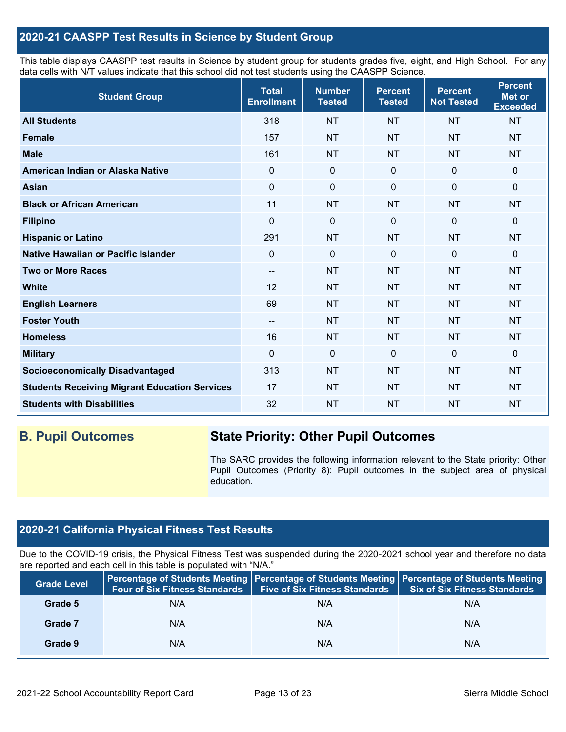### **2020-21 CAASPP Test Results in Science by Student Group**

This table displays CAASPP test results in Science by student group for students grades five, eight, and High School. For any data cells with N/T values indicate that this school did not test students using the CAASPP Science.

| <b>Student Group</b>                                 | <b>Total</b><br><b>Enrollment</b> | <b>Number</b><br><b>Tested</b> | <b>Percent</b><br><b>Tested</b> | <b>Percent</b><br><b>Not Tested</b> | <b>Percent</b><br><b>Met or</b><br><b>Exceeded</b> |
|------------------------------------------------------|-----------------------------------|--------------------------------|---------------------------------|-------------------------------------|----------------------------------------------------|
| <b>All Students</b>                                  | 318                               | <b>NT</b>                      | <b>NT</b>                       | <b>NT</b>                           | <b>NT</b>                                          |
| <b>Female</b>                                        | 157                               | <b>NT</b>                      | <b>NT</b>                       | <b>NT</b>                           | <b>NT</b>                                          |
| <b>Male</b>                                          | 161                               | <b>NT</b>                      | <b>NT</b>                       | <b>NT</b>                           | <b>NT</b>                                          |
| American Indian or Alaska Native                     | $\Omega$                          | $\mathbf 0$                    | $\mathbf 0$                     | $\mathbf 0$                         | 0                                                  |
| <b>Asian</b>                                         | $\mathbf 0$                       | $\pmb{0}$                      | $\mathbf 0$                     | $\mathbf 0$                         | 0                                                  |
| <b>Black or African American</b>                     | 11                                | <b>NT</b>                      | <b>NT</b>                       | <b>NT</b>                           | <b>NT</b>                                          |
| <b>Filipino</b>                                      | 0                                 | $\mathbf 0$                    | $\mathbf 0$                     | 0                                   | 0                                                  |
| <b>Hispanic or Latino</b>                            | 291                               | <b>NT</b>                      | <b>NT</b>                       | <b>NT</b>                           | <b>NT</b>                                          |
| Native Hawaiian or Pacific Islander                  | 0                                 | $\mathbf 0$                    | $\mathbf{0}$                    | $\mathbf 0$                         | 0                                                  |
| <b>Two or More Races</b>                             | --                                | <b>NT</b>                      | <b>NT</b>                       | <b>NT</b>                           | <b>NT</b>                                          |
| <b>White</b>                                         | 12                                | <b>NT</b>                      | <b>NT</b>                       | <b>NT</b>                           | <b>NT</b>                                          |
| <b>English Learners</b>                              | 69                                | <b>NT</b>                      | <b>NT</b>                       | <b>NT</b>                           | <b>NT</b>                                          |
| <b>Foster Youth</b>                                  | --                                | <b>NT</b>                      | <b>NT</b>                       | <b>NT</b>                           | <b>NT</b>                                          |
| <b>Homeless</b>                                      | 16                                | <b>NT</b>                      | <b>NT</b>                       | <b>NT</b>                           | <b>NT</b>                                          |
| <b>Military</b>                                      | $\mathbf 0$                       | $\mathbf 0$                    | $\mathbf 0$                     | $\mathbf 0$                         | 0                                                  |
| <b>Socioeconomically Disadvantaged</b>               | 313                               | <b>NT</b>                      | <b>NT</b>                       | <b>NT</b>                           | <b>NT</b>                                          |
| <b>Students Receiving Migrant Education Services</b> | 17                                | <b>NT</b>                      | <b>NT</b>                       | <b>NT</b>                           | <b>NT</b>                                          |
| <b>Students with Disabilities</b>                    | 32                                | <b>NT</b>                      | <b>NT</b>                       | <b>NT</b>                           | <b>NT</b>                                          |

# **B. Pupil Outcomes State Priority: Other Pupil Outcomes**

The SARC provides the following information relevant to the State priority: Other Pupil Outcomes (Priority 8): Pupil outcomes in the subject area of physical education.

# **2020-21 California Physical Fitness Test Results**

Due to the COVID-19 crisis, the Physical Fitness Test was suspended during the 2020-2021 school year and therefore no data are reported and each cell in this table is populated with "N/A."

| <b>Grade Level</b> | Four of Six Fitness Standards | <b>Five of Six Fitness Standards</b> | Percentage of Students Meeting   Percentage of Students Meeting   Percentage of Students Meeting<br><b>Six of Six Fitness Standards</b> |
|--------------------|-------------------------------|--------------------------------------|-----------------------------------------------------------------------------------------------------------------------------------------|
| Grade 5            | N/A                           | N/A                                  | N/A                                                                                                                                     |
| Grade 7            | N/A                           | N/A                                  | N/A                                                                                                                                     |
| Grade 9            | N/A                           | N/A                                  | N/A                                                                                                                                     |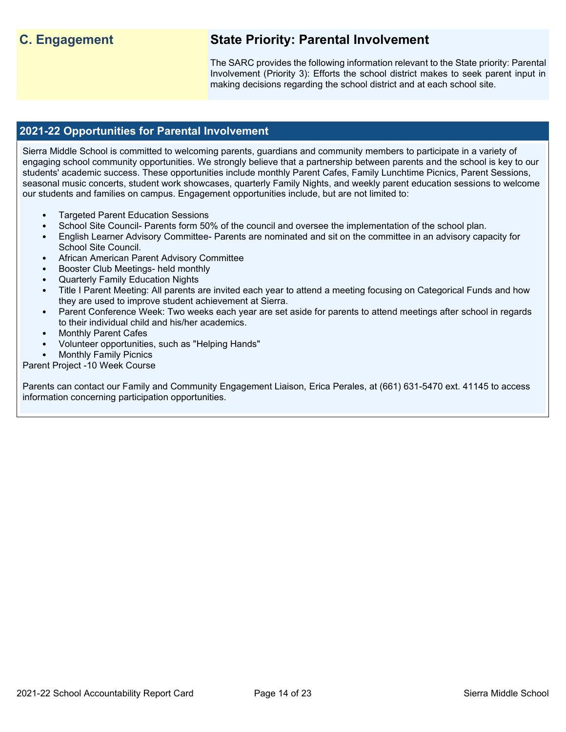# **C. Engagement State Priority: Parental Involvement**

The SARC provides the following information relevant to the State priority: Parental Involvement (Priority 3): Efforts the school district makes to seek parent input in making decisions regarding the school district and at each school site.

### **2021-22 Opportunities for Parental Involvement**

Sierra Middle School is committed to welcoming parents, guardians and community members to participate in a variety of engaging school community opportunities. We strongly believe that a partnership between parents and the school is key to our students' academic success. These opportunities include monthly Parent Cafes, Family Lunchtime Picnics, Parent Sessions, seasonal music concerts, student work showcases, quarterly Family Nights, and weekly parent education sessions to welcome our students and families on campus. Engagement opportunities include, but are not limited to:

- Targeted Parent Education Sessions
- School Site Council- Parents form 50% of the council and oversee the implementation of the school plan.
- English Learner Advisory Committee- Parents are nominated and sit on the committee in an advisory capacity for School Site Council.
- African American Parent Advisory Committee
- Booster Club Meetings- held monthly
- Quarterly Family Education Nights
- Title I Parent Meeting: All parents are invited each year to attend a meeting focusing on Categorical Funds and how they are used to improve student achievement at Sierra.
- Parent Conference Week: Two weeks each year are set aside for parents to attend meetings after school in regards to their individual child and his/her academics.
- **Monthly Parent Cafes**
- Volunteer opportunities, such as "Helping Hands"
- **Monthly Family Picnics**

Parent Project -10 Week Course

Parents can contact our Family and Community Engagement Liaison, Erica Perales, at (661) 631-5470 ext. 41145 to access information concerning participation opportunities.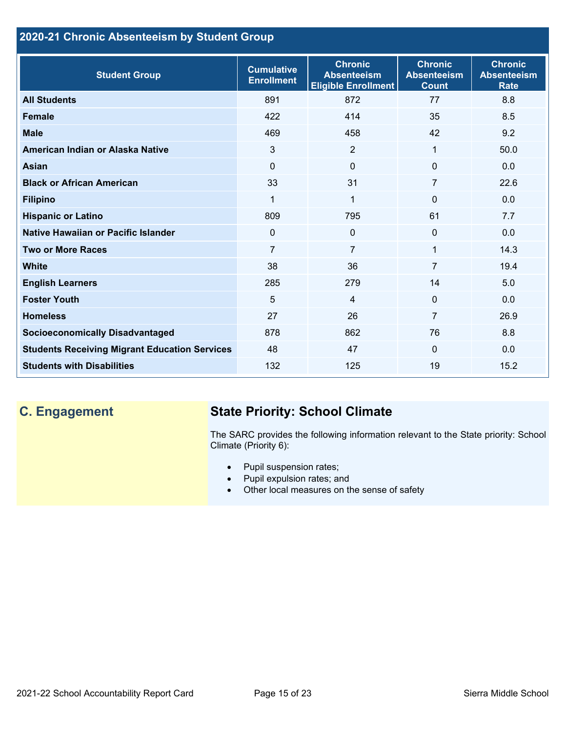## **2020-21 Chronic Absenteeism by Student Group**

| <b>Student Group</b>                                 | <b>Cumulative</b><br><b>Enrollment</b> | <b>Chronic</b><br><b>Absenteeism</b><br><b>Eligible Enrollment</b> | <b>Chronic</b><br><b>Absenteeism</b><br><b>Count</b> | <b>Chronic</b><br><b>Absenteeism</b><br><b>Rate</b> |
|------------------------------------------------------|----------------------------------------|--------------------------------------------------------------------|------------------------------------------------------|-----------------------------------------------------|
| <b>All Students</b>                                  | 891                                    | 872                                                                | 77                                                   | 8.8                                                 |
| <b>Female</b>                                        | 422                                    | 414                                                                | 35                                                   | 8.5                                                 |
| <b>Male</b>                                          | 469                                    | 458                                                                | 42                                                   | 9.2                                                 |
| American Indian or Alaska Native                     | 3                                      | 2                                                                  | 1                                                    | 50.0                                                |
| <b>Asian</b>                                         | 0                                      | $\Omega$                                                           | 0                                                    | 0.0                                                 |
| <b>Black or African American</b>                     | 33                                     | 31                                                                 | 7                                                    | 22.6                                                |
| <b>Filipino</b>                                      | $\mathbf{1}$                           | $\mathbf{1}$                                                       | $\mathbf{0}$                                         | 0.0                                                 |
| <b>Hispanic or Latino</b>                            | 809                                    | 795                                                                | 61                                                   | 7.7                                                 |
| Native Hawaiian or Pacific Islander                  | 0                                      | $\mathbf 0$                                                        | $\mathbf 0$                                          | 0.0                                                 |
| <b>Two or More Races</b>                             | $\overline{7}$                         | $\overline{7}$                                                     | 1                                                    | 14.3                                                |
| <b>White</b>                                         | 38                                     | 36                                                                 | $\overline{7}$                                       | 19.4                                                |
| <b>English Learners</b>                              | 285                                    | 279                                                                | 14                                                   | 5.0                                                 |
| <b>Foster Youth</b>                                  | 5                                      | $\overline{4}$                                                     | $\Omega$                                             | 0.0                                                 |
| <b>Homeless</b>                                      | 27                                     | 26                                                                 | $\overline{7}$                                       | 26.9                                                |
| <b>Socioeconomically Disadvantaged</b>               | 878                                    | 862                                                                | 76                                                   | 8.8                                                 |
| <b>Students Receiving Migrant Education Services</b> | 48                                     | 47                                                                 | $\mathbf{0}$                                         | 0.0                                                 |
| <b>Students with Disabilities</b>                    | 132                                    | 125                                                                | 19                                                   | 15.2                                                |

# **C. Engagement State Priority: School Climate**

The SARC provides the following information relevant to the State priority: School Climate (Priority 6):

- Pupil suspension rates;
- Pupil expulsion rates; and
- Other local measures on the sense of safety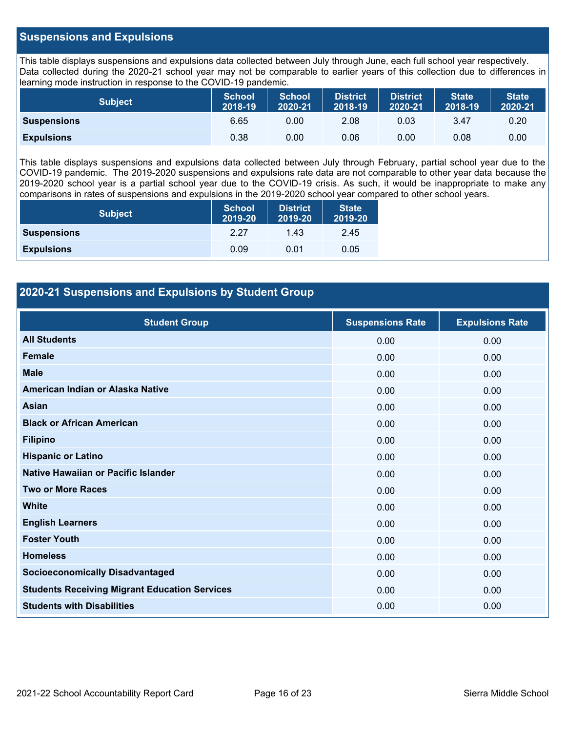### **Suspensions and Expulsions**

This table displays suspensions and expulsions data collected between July through June, each full school year respectively. Data collected during the 2020-21 school year may not be comparable to earlier years of this collection due to differences in learning mode instruction in response to the COVID-19 pandemic.

| <b>Subject</b>     | <b>School</b><br>2018-19 | <b>School</b><br>2020-21 | <b>District</b><br>2018-19 | <b>District</b><br>2020-21 | <b>State</b><br>2018-19 | <b>State</b><br>2020-21 |
|--------------------|--------------------------|--------------------------|----------------------------|----------------------------|-------------------------|-------------------------|
| <b>Suspensions</b> | 6.65                     | 0.00                     | 2.08                       | 0.03                       | 3.47                    | 0.20                    |
| <b>Expulsions</b>  | 0.38                     | 0.00                     | 0.06                       | 0.00                       | 0.08                    | 0.00                    |

This table displays suspensions and expulsions data collected between July through February, partial school year due to the COVID-19 pandemic. The 2019-2020 suspensions and expulsions rate data are not comparable to other year data because the 2019-2020 school year is a partial school year due to the COVID-19 crisis. As such, it would be inappropriate to make any comparisons in rates of suspensions and expulsions in the 2019-2020 school year compared to other school years.

| <b>Subject</b>     | School<br>2019-20 | <b>District</b><br>2019-20 | <b>State</b><br>2019-20 |
|--------------------|-------------------|----------------------------|-------------------------|
| <b>Suspensions</b> | 2.27              | 1.43                       | 2.45                    |
| <b>Expulsions</b>  | 0.09              | 0.01                       | 0.05                    |

### **2020-21 Suspensions and Expulsions by Student Group**

| <b>Student Group</b>                                 | <b>Suspensions Rate</b> | <b>Expulsions Rate</b> |
|------------------------------------------------------|-------------------------|------------------------|
| <b>All Students</b>                                  | 0.00                    | 0.00                   |
| <b>Female</b>                                        | 0.00                    | 0.00                   |
| <b>Male</b>                                          | 0.00                    | 0.00                   |
| American Indian or Alaska Native                     | 0.00                    | 0.00                   |
| <b>Asian</b>                                         | 0.00                    | 0.00                   |
| <b>Black or African American</b>                     | 0.00                    | 0.00                   |
| <b>Filipino</b>                                      | 0.00                    | 0.00                   |
| <b>Hispanic or Latino</b>                            | 0.00                    | 0.00                   |
| Native Hawaiian or Pacific Islander                  | 0.00                    | 0.00                   |
| <b>Two or More Races</b>                             | 0.00                    | 0.00                   |
| <b>White</b>                                         | 0.00                    | 0.00                   |
| <b>English Learners</b>                              | 0.00                    | 0.00                   |
| <b>Foster Youth</b>                                  | 0.00                    | 0.00                   |
| <b>Homeless</b>                                      | 0.00                    | 0.00                   |
| <b>Socioeconomically Disadvantaged</b>               | 0.00                    | 0.00                   |
| <b>Students Receiving Migrant Education Services</b> | 0.00                    | 0.00                   |
| <b>Students with Disabilities</b>                    | 0.00                    | 0.00                   |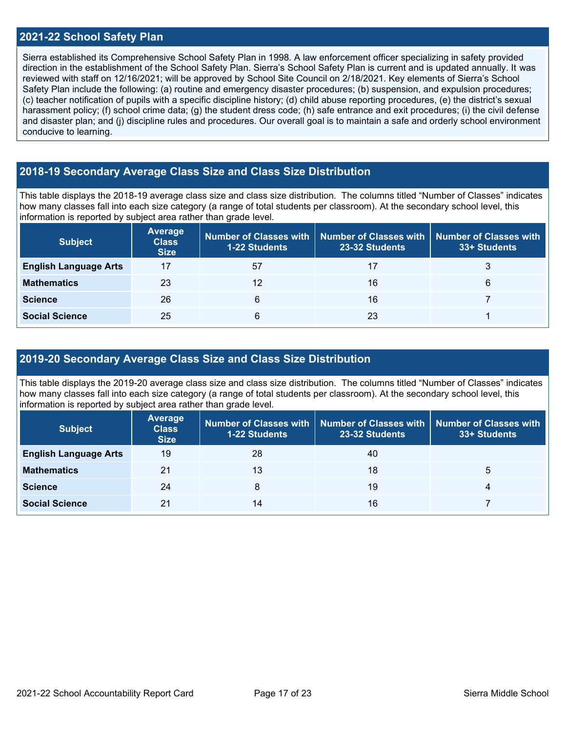### **2021-22 School Safety Plan**

Sierra established its Comprehensive School Safety Plan in 1998. A law enforcement officer specializing in safety provided direction in the establishment of the School Safety Plan. Sierra's School Safety Plan is current and is updated annually. It was reviewed with staff on 12/16/2021; will be approved by School Site Council on 2/18/2021. Key elements of Sierra's School Safety Plan include the following: (a) routine and emergency disaster procedures; (b) suspension, and expulsion procedures; (c) teacher notification of pupils with a specific discipline history; (d) child abuse reporting procedures, (e) the district's sexual harassment policy; (f) school crime data; (g) the student dress code; (h) safe entrance and exit procedures; (i) the civil defense and disaster plan; and (j) discipline rules and procedures. Our overall goal is to maintain a safe and orderly school environment conducive to learning.

### **2018-19 Secondary Average Class Size and Class Size Distribution**

This table displays the 2018-19 average class size and class size distribution. The columns titled "Number of Classes" indicates how many classes fall into each size category (a range of total students per classroom). At the secondary school level, this information is reported by subject area rather than grade level.

| <b>Subject</b>               | Average<br><b>Class</b><br><b>Size</b> | <b>1-22 Students</b> | Number of Classes with   Number of Classes with   Number of Classes with<br>23-32 Students | 33+ Students |
|------------------------------|----------------------------------------|----------------------|--------------------------------------------------------------------------------------------|--------------|
| <b>English Language Arts</b> |                                        | 57                   | 17                                                                                         |              |
| <b>Mathematics</b>           | 23                                     | 12                   | 16                                                                                         | 6            |
| <b>Science</b>               | 26                                     | 6                    | 16                                                                                         |              |
| <b>Social Science</b>        | 25                                     | 6                    | 23                                                                                         |              |

### **2019-20 Secondary Average Class Size and Class Size Distribution**

This table displays the 2019-20 average class size and class size distribution. The columns titled "Number of Classes" indicates how many classes fall into each size category (a range of total students per classroom). At the secondary school level, this information is reported by subject area rather than grade level.

| <b>Subject</b>               | <b>Average</b><br><b>Class</b><br><b>Size</b> | 1-22 Students | Number of Classes with   Number of Classes with   Number of Classes with<br>23-32 Students | 33+ Students |
|------------------------------|-----------------------------------------------|---------------|--------------------------------------------------------------------------------------------|--------------|
| <b>English Language Arts</b> | 19                                            | 28            | 40                                                                                         |              |
| <b>Mathematics</b>           | 21                                            | 13            | 18                                                                                         | b            |
| <b>Science</b>               | 24                                            | 8             | 19                                                                                         | 4            |
| <b>Social Science</b>        | 21                                            | 14            | 16                                                                                         |              |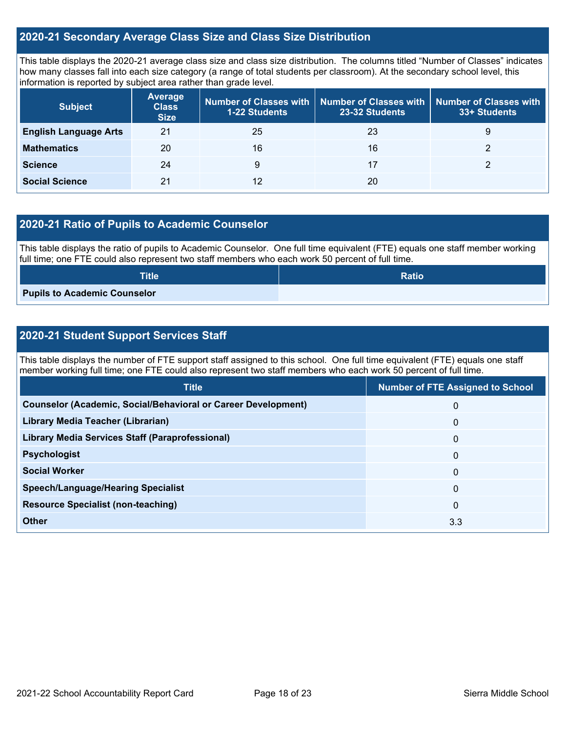### **2020-21 Secondary Average Class Size and Class Size Distribution**

This table displays the 2020-21 average class size and class size distribution. The columns titled "Number of Classes" indicates how many classes fall into each size category (a range of total students per classroom). At the secondary school level, this information is reported by subject area rather than grade level.

| <b>Subject</b>               | <b>Average</b><br><b>Class</b><br><b>Size</b> | <b>1-22 Students</b> | Number of Classes with   Number of Classes with   Number of Classes with<br>23-32 Students | 33+ Students |
|------------------------------|-----------------------------------------------|----------------------|--------------------------------------------------------------------------------------------|--------------|
| <b>English Language Arts</b> | 21                                            | 25                   | 23                                                                                         | 9            |
| <b>Mathematics</b>           | 20                                            | 16                   | 16                                                                                         |              |
| <b>Science</b>               | 24                                            | 9                    | 17                                                                                         |              |
| <b>Social Science</b>        | 21                                            | 12                   | 20                                                                                         |              |

### **2020-21 Ratio of Pupils to Academic Counselor**

This table displays the ratio of pupils to Academic Counselor. One full time equivalent (FTE) equals one staff member working full time; one FTE could also represent two staff members who each work 50 percent of full time.

| <b>Title</b>                        | <b>Ratio</b> |
|-------------------------------------|--------------|
| <b>Pupils to Academic Counselor</b> |              |

### **2020-21 Student Support Services Staff**

This table displays the number of FTE support staff assigned to this school. One full time equivalent (FTE) equals one staff member working full time; one FTE could also represent two staff members who each work 50 percent of full time.

| <b>Title</b>                                                         | <b>Number of FTE Assigned to School</b> |
|----------------------------------------------------------------------|-----------------------------------------|
| <b>Counselor (Academic, Social/Behavioral or Career Development)</b> | 0                                       |
| Library Media Teacher (Librarian)                                    | $\mathbf 0$                             |
| <b>Library Media Services Staff (Paraprofessional)</b>               | $\mathbf{0}$                            |
| <b>Psychologist</b>                                                  | $\mathbf{0}$                            |
| <b>Social Worker</b>                                                 | $\mathbf 0$                             |
| <b>Speech/Language/Hearing Specialist</b>                            | $\Omega$                                |
| <b>Resource Specialist (non-teaching)</b>                            | $\mathbf{0}$                            |
| Other                                                                | 3.3                                     |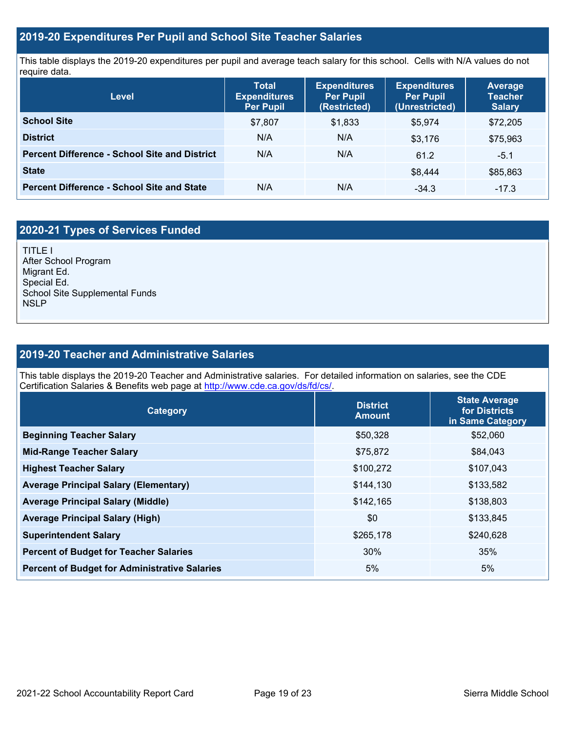### **2019-20 Expenditures Per Pupil and School Site Teacher Salaries**

This table displays the 2019-20 expenditures per pupil and average teach salary for this school. Cells with N/A values do not require data.

| <b>Level</b>                                         | <b>Total</b><br><b>Expenditures</b><br><b>Per Pupil</b> | <b>Expenditures</b><br><b>Per Pupil</b><br>(Restricted) | <b>Expenditures</b><br><b>Per Pupil</b><br>(Unrestricted) | <b>Average</b><br><b>Teacher</b><br><b>Salary</b> |
|------------------------------------------------------|---------------------------------------------------------|---------------------------------------------------------|-----------------------------------------------------------|---------------------------------------------------|
| <b>School Site</b>                                   | \$7,807                                                 | \$1,833                                                 | \$5.974                                                   | \$72,205                                          |
| <b>District</b>                                      | N/A                                                     | N/A                                                     | \$3,176                                                   | \$75,963                                          |
| <b>Percent Difference - School Site and District</b> | N/A                                                     | N/A                                                     | 61.2                                                      | $-5.1$                                            |
| <b>State</b>                                         |                                                         |                                                         | \$8.444                                                   | \$85,863                                          |
| <b>Percent Difference - School Site and State</b>    | N/A                                                     | N/A                                                     | $-34.3$                                                   | $-17.3$                                           |

# **2020-21 Types of Services Funded**

TITLE I After School Program Migrant Ed. Special Ed. School Site Supplemental Funds **NSLP** 

### **2019-20 Teacher and Administrative Salaries**

This table displays the 2019-20 Teacher and Administrative salaries. For detailed information on salaries, see the CDE Certification Salaries & Benefits web page at [http://www.cde.ca.gov/ds/fd/cs/.](http://www.cde.ca.gov/ds/fd/cs/)

| Category                                             | <b>District</b><br><b>Amount</b> | <b>State Average</b><br>for Districts<br>in Same Category |
|------------------------------------------------------|----------------------------------|-----------------------------------------------------------|
| <b>Beginning Teacher Salary</b>                      | \$50,328                         | \$52,060                                                  |
| <b>Mid-Range Teacher Salary</b>                      | \$75,872                         | \$84,043                                                  |
| <b>Highest Teacher Salary</b>                        | \$100,272                        | \$107,043                                                 |
| <b>Average Principal Salary (Elementary)</b>         | \$144,130                        | \$133,582                                                 |
| <b>Average Principal Salary (Middle)</b>             | \$142,165                        | \$138,803                                                 |
| <b>Average Principal Salary (High)</b>               | \$0                              | \$133,845                                                 |
| <b>Superintendent Salary</b>                         | \$265,178                        | \$240,628                                                 |
| <b>Percent of Budget for Teacher Salaries</b>        | 30%                              | 35%                                                       |
| <b>Percent of Budget for Administrative Salaries</b> | 5%                               | 5%                                                        |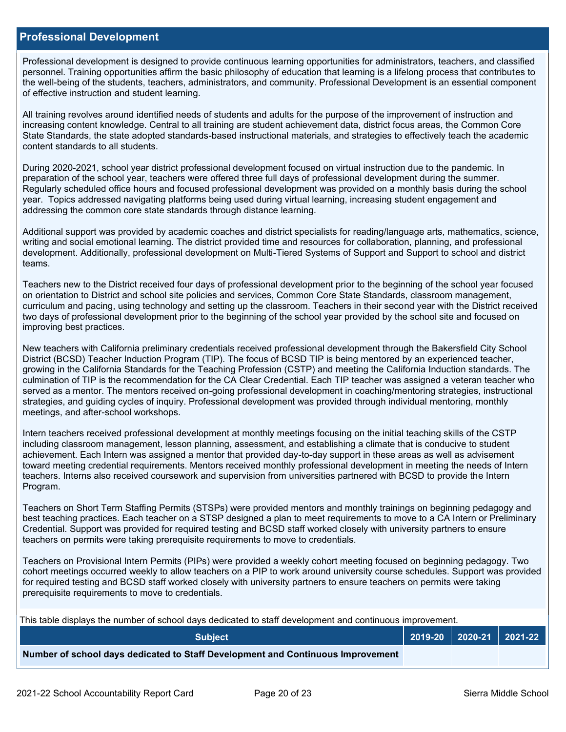### **Professional Development**

Professional development is designed to provide continuous learning opportunities for administrators, teachers, and classified personnel. Training opportunities affirm the basic philosophy of education that learning is a lifelong process that contributes to the well-being of the students, teachers, administrators, and community. Professional Development is an essential component of effective instruction and student learning.

All training revolves around identified needs of students and adults for the purpose of the improvement of instruction and increasing content knowledge. Central to all training are student achievement data, district focus areas, the Common Core State Standards, the state adopted standards-based instructional materials, and strategies to effectively teach the academic content standards to all students.

During 2020-2021, school year district professional development focused on virtual instruction due to the pandemic. In preparation of the school year, teachers were offered three full days of professional development during the summer. Regularly scheduled office hours and focused professional development was provided on a monthly basis during the school year. Topics addressed navigating platforms being used during virtual learning, increasing student engagement and addressing the common core state standards through distance learning.

Additional support was provided by academic coaches and district specialists for reading/language arts, mathematics, science, writing and social emotional learning. The district provided time and resources for collaboration, planning, and professional development. Additionally, professional development on Multi-Tiered Systems of Support and Support to school and district teams.

Teachers new to the District received four days of professional development prior to the beginning of the school year focused on orientation to District and school site policies and services, Common Core State Standards, classroom management, curriculum and pacing, using technology and setting up the classroom. Teachers in their second year with the District received two days of professional development prior to the beginning of the school year provided by the school site and focused on improving best practices.

New teachers with California preliminary credentials received professional development through the Bakersfield City School District (BCSD) Teacher Induction Program (TIP). The focus of BCSD TIP is being mentored by an experienced teacher, growing in the California Standards for the Teaching Profession (CSTP) and meeting the California Induction standards. The culmination of TIP is the recommendation for the CA Clear Credential. Each TIP teacher was assigned a veteran teacher who served as a mentor. The mentors received on-going professional development in coaching/mentoring strategies, instructional strategies, and guiding cycles of inquiry. Professional development was provided through individual mentoring, monthly meetings, and after-school workshops.

Intern teachers received professional development at monthly meetings focusing on the initial teaching skills of the CSTP including classroom management, lesson planning, assessment, and establishing a climate that is conducive to student achievement. Each Intern was assigned a mentor that provided day-to-day support in these areas as well as advisement toward meeting credential requirements. Mentors received monthly professional development in meeting the needs of Intern teachers. Interns also received coursework and supervision from universities partnered with BCSD to provide the Intern Program.

Teachers on Short Term Staffing Permits (STSPs) were provided mentors and monthly trainings on beginning pedagogy and best teaching practices. Each teacher on a STSP designed a plan to meet requirements to move to a CA Intern or Preliminary Credential. Support was provided for required testing and BCSD staff worked closely with university partners to ensure teachers on permits were taking prerequisite requirements to move to credentials.

Teachers on Provisional Intern Permits (PIPs) were provided a weekly cohort meeting focused on beginning pedagogy. Two cohort meetings occurred weekly to allow teachers on a PIP to work around university course schedules. Support was provided for required testing and BCSD staff worked closely with university partners to ensure teachers on permits were taking prerequisite requirements to move to credentials.

This table displays the number of school days dedicated to staff development and continuous improvement.

| <b>Subject</b>                                                                  |  | $2019-20$ 2020-21 2021-22 |
|---------------------------------------------------------------------------------|--|---------------------------|
| Number of school days dedicated to Staff Development and Continuous Improvement |  |                           |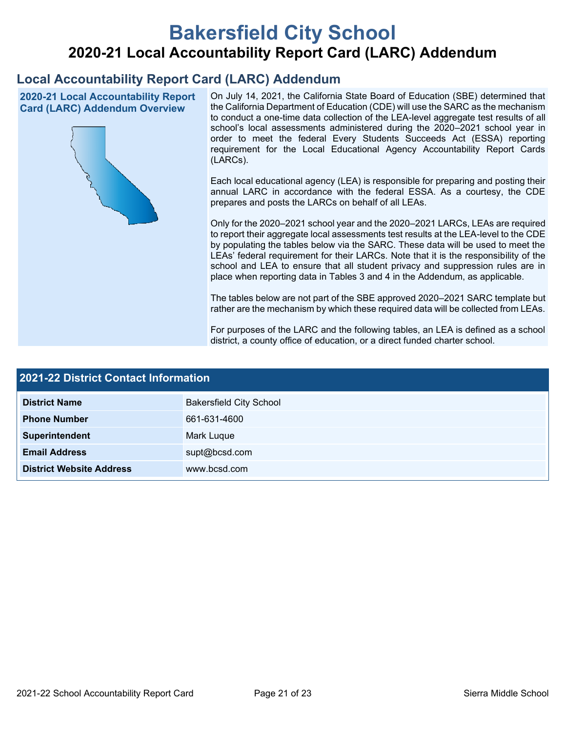# **Bakersfield City School 2020-21 Local Accountability Report Card (LARC) Addendum**

# **Local Accountability Report Card (LARC) Addendum**

**2020-21 Local Accountability Report Card (LARC) Addendum Overview**



On July 14, 2021, the California State Board of Education (SBE) determined that the California Department of Education (CDE) will use the SARC as the mechanism to conduct a one-time data collection of the LEA-level aggregate test results of all school's local assessments administered during the 2020–2021 school year in order to meet the federal Every Students Succeeds Act (ESSA) reporting requirement for the Local Educational Agency Accountability Report Cards (LARCs).

Each local educational agency (LEA) is responsible for preparing and posting their annual LARC in accordance with the federal ESSA. As a courtesy, the CDE prepares and posts the LARCs on behalf of all LEAs.

Only for the 2020–2021 school year and the 2020–2021 LARCs, LEAs are required to report their aggregate local assessments test results at the LEA-level to the CDE by populating the tables below via the SARC. These data will be used to meet the LEAs' federal requirement for their LARCs. Note that it is the responsibility of the school and LEA to ensure that all student privacy and suppression rules are in place when reporting data in Tables 3 and 4 in the Addendum, as applicable.

The tables below are not part of the SBE approved 2020–2021 SARC template but rather are the mechanism by which these required data will be collected from LEAs.

For purposes of the LARC and the following tables, an LEA is defined as a school district, a county office of education, or a direct funded charter school.

| 2021-22 District Contact Information |                                |  |  |  |
|--------------------------------------|--------------------------------|--|--|--|
| <b>District Name</b>                 | <b>Bakersfield City School</b> |  |  |  |
| <b>Phone Number</b>                  | 661-631-4600                   |  |  |  |
| Superintendent                       | <b>Mark Luque</b>              |  |  |  |
| <b>Email Address</b>                 | supt@bcsd.com                  |  |  |  |
| <b>District Website Address</b>      | www.bcsd.com                   |  |  |  |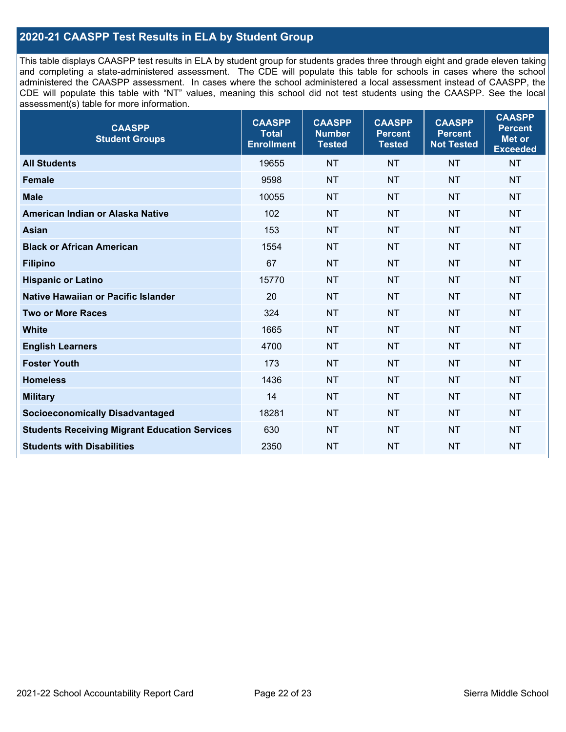### **2020-21 CAASPP Test Results in ELA by Student Group**

This table displays CAASPP test results in ELA by student group for students grades three through eight and grade eleven taking and completing a state-administered assessment. The CDE will populate this table for schools in cases where the school administered the CAASPP assessment. In cases where the school administered a local assessment instead of CAASPP, the CDE will populate this table with "NT" values, meaning this school did not test students using the CAASPP. See the local assessment(s) table for more information.

| <b>CAASPP</b><br><b>Student Groups</b>               | <b>CAASPP</b><br><b>Total</b><br><b>Enrollment</b> | <b>CAASPP</b><br><b>Number</b><br><b>Tested</b> | <b>CAASPP</b><br><b>Percent</b><br><b>Tested</b> | <b>CAASPP</b><br><b>Percent</b><br><b>Not Tested</b> | <b>CAASPP</b><br><b>Percent</b><br>Met or<br><b>Exceeded</b> |
|------------------------------------------------------|----------------------------------------------------|-------------------------------------------------|--------------------------------------------------|------------------------------------------------------|--------------------------------------------------------------|
| <b>All Students</b>                                  | 19655                                              | <b>NT</b>                                       | <b>NT</b>                                        | <b>NT</b>                                            | <b>NT</b>                                                    |
| <b>Female</b>                                        | 9598                                               | <b>NT</b>                                       | <b>NT</b>                                        | <b>NT</b>                                            | <b>NT</b>                                                    |
| <b>Male</b>                                          | 10055                                              | <b>NT</b>                                       | <b>NT</b>                                        | <b>NT</b>                                            | <b>NT</b>                                                    |
| American Indian or Alaska Native                     | 102                                                | <b>NT</b>                                       | <b>NT</b>                                        | <b>NT</b>                                            | <b>NT</b>                                                    |
| <b>Asian</b>                                         | 153                                                | <b>NT</b>                                       | <b>NT</b>                                        | <b>NT</b>                                            | <b>NT</b>                                                    |
| <b>Black or African American</b>                     | 1554                                               | <b>NT</b>                                       | <b>NT</b>                                        | <b>NT</b>                                            | <b>NT</b>                                                    |
| <b>Filipino</b>                                      | 67                                                 | <b>NT</b>                                       | <b>NT</b>                                        | <b>NT</b>                                            | <b>NT</b>                                                    |
| <b>Hispanic or Latino</b>                            | 15770                                              | <b>NT</b>                                       | <b>NT</b>                                        | <b>NT</b>                                            | <b>NT</b>                                                    |
| Native Hawaiian or Pacific Islander                  | 20                                                 | <b>NT</b>                                       | <b>NT</b>                                        | <b>NT</b>                                            | <b>NT</b>                                                    |
| <b>Two or More Races</b>                             | 324                                                | <b>NT</b>                                       | <b>NT</b>                                        | <b>NT</b>                                            | <b>NT</b>                                                    |
| <b>White</b>                                         | 1665                                               | <b>NT</b>                                       | <b>NT</b>                                        | <b>NT</b>                                            | <b>NT</b>                                                    |
| <b>English Learners</b>                              | 4700                                               | <b>NT</b>                                       | <b>NT</b>                                        | <b>NT</b>                                            | <b>NT</b>                                                    |
| <b>Foster Youth</b>                                  | 173                                                | <b>NT</b>                                       | <b>NT</b>                                        | <b>NT</b>                                            | <b>NT</b>                                                    |
| <b>Homeless</b>                                      | 1436                                               | <b>NT</b>                                       | <b>NT</b>                                        | <b>NT</b>                                            | <b>NT</b>                                                    |
| <b>Military</b>                                      | 14                                                 | <b>NT</b>                                       | <b>NT</b>                                        | <b>NT</b>                                            | <b>NT</b>                                                    |
| <b>Socioeconomically Disadvantaged</b>               | 18281                                              | <b>NT</b>                                       | <b>NT</b>                                        | <b>NT</b>                                            | <b>NT</b>                                                    |
| <b>Students Receiving Migrant Education Services</b> | 630                                                | <b>NT</b>                                       | <b>NT</b>                                        | <b>NT</b>                                            | NT                                                           |
| <b>Students with Disabilities</b>                    | 2350                                               | <b>NT</b>                                       | <b>NT</b>                                        | <b>NT</b>                                            | <b>NT</b>                                                    |